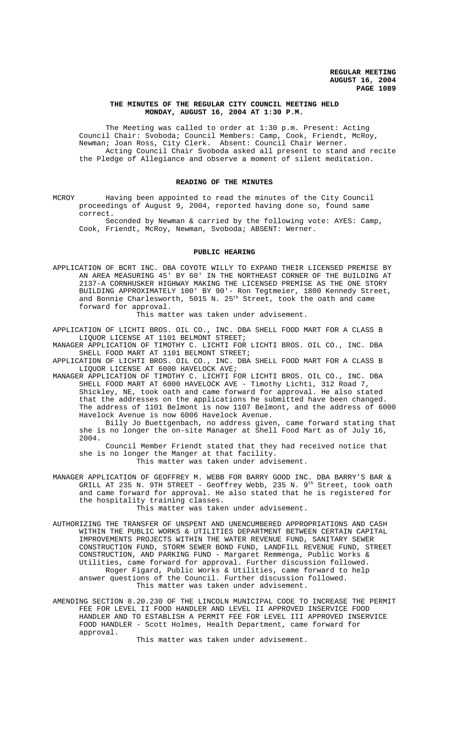## **THE MINUTES OF THE REGULAR CITY COUNCIL MEETING HELD MONDAY, AUGUST 16, 2004 AT 1:30 P.M.**

The Meeting was called to order at 1:30 p.m. Present: Acting Council Chair: Svoboda; Council Members: Camp, Cook, Friendt, McRoy, Newman; Joan Ross, City Clerk. Absent: Council Chair Werner. Acting Council Chair Svoboda asked all present to stand and recite the Pledge of Allegiance and observe a moment of silent meditation.

#### **READING OF THE MINUTES**

MCROY Having been appointed to read the minutes of the City Council proceedings of August 9, 2004, reported having done so, found same correct.

Seconded by Newman & carried by the following vote: AYES: Camp, Cook, Friendt, McRoy, Newman, Svoboda; ABSENT: Werner.

#### **PUBLIC HEARING**

APPLICATION OF BCRT INC. DBA COYOTE WILLY TO EXPAND THEIR LICENSED PREMISE BY AN AREA MEASURING 45' BY 60' IN THE NORTHEAST CORNER OF THE BUILDING AT 2137-A CORNHUSKER HIGHWAY MAKING THE LICENSED PREMISE AS THE ONE STORY BUILDING APPROXIMATELY 100' BY 90'- Ron Tegtmeier, 1800 Kennedy Street, and Bonnie Charlesworth,  $5015$  N.  $25^{\text{th}}$  Street, took the oath and came forward for approval.

This matter was taken under advisement.

APPLICATION OF LICHTI BROS. OIL CO., INC. DBA SHELL FOOD MART FOR A CLASS B LIQUOR LICENSE AT 1101 BELMONT STREET;

MANAGER APPLICATION OF TIMOTHY C. LICHTI FOR LICHTI BROS. OIL CO., INC. DBA SHELL FOOD MART AT 1101 BELMONT STREET;

APPLICATION OF LICHTI BROS. OIL CO., INC. DBA SHELL FOOD MART FOR A CLASS B LIQUOR LICENSE AT 6000 HAVELOCK AVE;

MANAGER APPLICATION OF TIMOTHY C. LICHTI FOR LICHTI BROS. OIL CO., INC. DBA SHELL FOOD MART AT 6000 HAVELOCK AVE - Timothy Lichti, 312 Road 7, Shickley, NE, took oath and came forward for approval. He also stated that the addresses on the applications he submitted have been changed. The address of 1101 Belmont is now 1107 Belmont, and the address of 6000 Havelock Avenue is now 6006 Havelock Avenue.

Billy Jo Buettgenbach, no address given, came forward stating that she is no longer the on-site Manager at Shell Food Mart as of July 16, 2004.

Council Member Friendt stated that they had received notice that she is no longer the Manger at that facility. This matter was taken under advisement.

MANAGER APPLICATION OF GEOFFREY M. WEBB FOR BARRY GOOD INC. DBA BARRY'S BAR & GRILL AT 235 N. 9TH STREET - Geoffrey Webb, 235 N. 9<sup>th</sup> Street, took oath and came forward for approval. He also stated that he is registered for the hospitality training classes.

This matter was taken under advisement.

AUTHORIZING THE TRANSFER OF UNSPENT AND UNENCUMBERED APPROPRIATIONS AND CASH WITHIN THE PUBLIC WORKS & UTILITIES DEPARTMENT BETWEEN CERTAIN CAPITAL IMPROVEMENTS PROJECTS WITHIN THE WATER REVENUE FUND, SANITARY SEWER CONSTRUCTION FUND, STORM SEWER BOND FUND, LANDFILL REVENUE FUND, STREET CONSTRUCTION, AND PARKING FUND - Margaret Remmenga, Public Works & Utilities, came forward for approval. Further discussion followed. Roger Figard, Public Works & Utilities, came forward to help answer questions of the Council. Further discussion followed. This matter was taken under advisement.

AMENDING SECTION 8.20.230 OF THE LINCOLN MUNICIPAL CODE TO INCREASE THE PERMIT FEE FOR LEVEL II FOOD HANDLER AND LEVEL II APPROVED INSERVICE FOOD HANDLER AND TO ESTABLISH A PERMIT FEE FOR LEVEL III APPROVED INSERVICE FOOD HANDLER - Scott Holmes, Health Department, came forward for approval.

This matter was taken under advisement.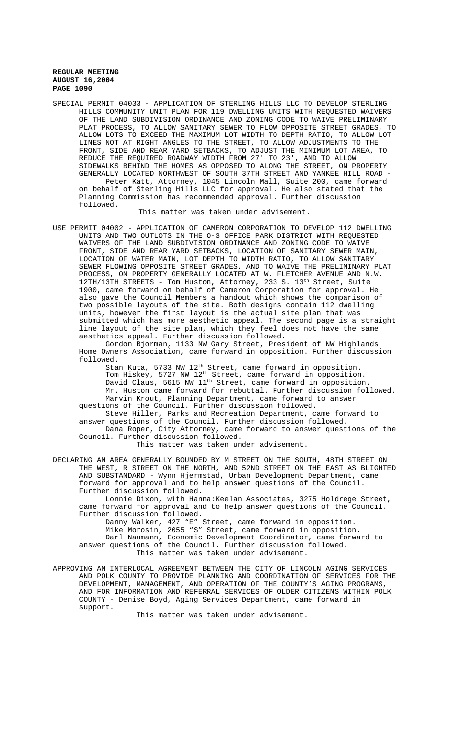followed.

SPECIAL PERMIT 04033 - APPLICATION OF STERLING HILLS LLC TO DEVELOP STERLING HILLS COMMUNITY UNIT PLAN FOR 119 DWELLING UNITS WITH REQUESTED WAIVERS OF THE LAND SUBDIVISION ORDINANCE AND ZONING CODE TO WAIVE PRELIMINARY PLAT PROCESS, TO ALLOW SANITARY SEWER TO FLOW OPPOSITE STREET GRADES, TO ALLOW LOTS TO EXCEED THE MAXIMUM LOT WIDTH TO DEPTH RATIO, TO ALLOW LOT LINES NOT AT RIGHT ANGLES TO THE STREET, TO ALLOW ADJUSTMENTS TO THE FRONT, SIDE AND REAR YARD SETBACKS, TO ADJUST THE MINIMUM LOT AREA, TO REDUCE THE REQUIRED ROADWAY WIDTH FROM 27' TO 23', AND TO ALLOW SIDEWALKS BEHIND THE HOMES AS OPPOSED TO ALONG THE STREET, ON PROPERTY GENERALLY LOCATED NORTHWEST OF SOUTH 37TH STREET AND YANKEE HILL ROAD - Peter Katt, Attorney, 1045 Lincoln Mall, Suite 200, came forward on behalf of Sterling Hills LLC for approval. He also stated that the Planning Commission has recommended approval. Further discussion

#### This matter was taken under advisement.

USE PERMIT 04002 - APPLICATION OF CAMERON CORPORATION TO DEVELOP 112 DWELLING UNITS AND TWO OUTLOTS IN THE O-3 OFFICE PARK DISTRICT WITH REQUESTED WAIVERS OF THE LAND SUBDIVISION ORDINANCE AND ZONING CODE TO WAIVE FRONT, SIDE AND REAR YARD SETBACKS, LOCATION OF SANITARY SEWER MAIN, LOCATION OF WATER MAIN, LOT DEPTH TO WIDTH RATIO, TO ALLOW SANITARY SEWER FLOWING OPPOSITE STREET GRADES, AND TO WAIVE THE PRELIMINARY PLAT PROCESS, ON PROPERTY GENERALLY LOCATED AT W. FLETCHER AVENUE AND N.W. 12TH/13TH STREETS - Tom Huston, Attorney, 233 S. 13<sup>th</sup> Street, Suite 1900, came forward on behalf of Cameron Corporation for approval. He also gave the Council Members a handout which shows the comparison of two possible layouts of the site. Both designs contain 112 dwelling units, however the first layout is the actual site plan that was submitted which has more aesthetic appeal. The second page is a straight line layout of the site plan, which they feel does not have the same aesthetics appeal. Further discussion followed.

Gordon Bjorman, 1133 NW Gary Street, President of NW Highlands Home Owners Association, came forward in opposition. Further discussion followed.

Stan Kuta, 5733 NW 12th Street, came forward in opposition. Tom Hiskey, 5727 NW 12th Street, came forward in opposition. David Claus, 5615 NW 11th Street, came forward in opposition. Mr. Huston came forward for rebuttal. Further discussion followed. Marvin Krout, Planning Department, came forward to answer questions of the Council. Further discussion followed.

Steve Hiller, Parks and Recreation Department, came forward to answer questions of the Council. Further discussion followed. Dana Roper, City Attorney, came forward to answer questions of the Council. Further discussion followed.

This matter was taken under advisement.

DECLARING AN AREA GENERALLY BOUNDED BY M STREET ON THE SOUTH, 48TH STREET ON THE WEST, R STREET ON THE NORTH, AND 52ND STREET ON THE EAST AS BLIGHTED AND SUBSTANDARD - Wynn Hjermstad, Urban Development Department, came forward for approval and to help answer questions of the Council. Further discussion followed.

Lonnie Dixon, with Hanna:Keelan Associates, 3275 Holdrege Street, came forward for approval and to help answer questions of the Council. Further discussion followed.

Danny Walker, 427 "E" Street, came forward in opposition. Mike Morosin, 2055 "S" Street, came forward in opposition. Darl Naumann, Economic Development Coordinator, came forward to answer questions of the Council. Further discussion followed. This matter was taken under advisement.

APPROVING AN INTERLOCAL AGREEMENT BETWEEN THE CITY OF LINCOLN AGING SERVICES AND POLK COUNTY TO PROVIDE PLANNING AND COORDINATION OF SERVICES FOR THE DEVELOPMENT, MANAGEMENT, AND OPERATION OF THE COUNTY'S AGING PROGRAMS, AND FOR INFORMATION AND REFERRAL SERVICES OF OLDER CITIZENS WITHIN POLK COUNTY - Denise Boyd, Aging Services Department, came forward in support.

This matter was taken under advisement.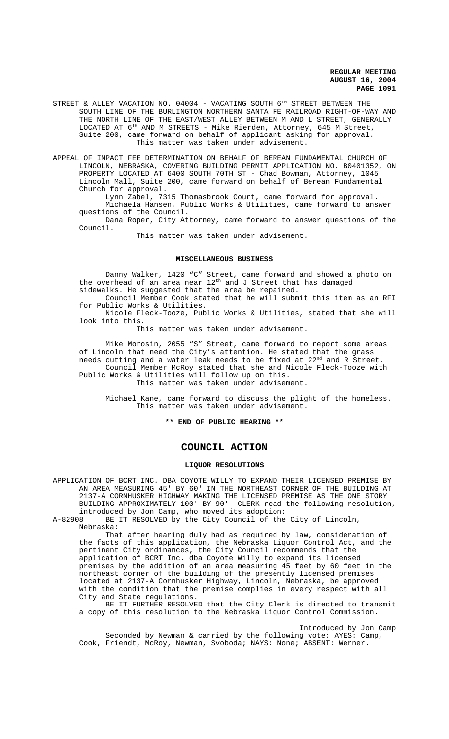STREET & ALLEY VACATION NO. 04004 - VACATING SOUTH 6<sup>TH</sup> STREET BETWEEN THE SOUTH LINE OF THE BURLINGTON NORTHERN SANTA FE RAILROAD RIGHT-OF-WAY AND THE NORTH LINE OF THE EAST/WEST ALLEY BETWEEN M AND L STREET, GENERALLY LOCATED AT 6TH AND M STREETS - Mike Rierden, Attorney, 645 M Street, Suite 200, came forward on behalf of applicant asking for approval. This matter was taken under advisement.

APPEAL OF IMPACT FEE DETERMINATION ON BEHALF OF BEREAN FUNDAMENTAL CHURCH OF LINCOLN, NEBRASKA, COVERING BUILDING PERMIT APPLICATION NO. B0401352, ON PROPERTY LOCATED AT 6400 SOUTH 70TH ST - Chad Bowman, Attorney, 1045 Lincoln Mall, Suite 200, came forward on behalf of Berean Fundamental Church for approval.

Lynn Zabel, 7315 Thomasbrook Court, came forward for approval. Michaela Hansen, Public Works & Utilities, came forward to answer questions of the Council.

Dana Roper, City Attorney, came forward to answer questions of the Council.

This matter was taken under advisement.

#### **MISCELLANEOUS BUSINESS**

Danny Walker, 1420 "C" Street, came forward and showed a photo on the overhead of an area near 12<sup>th</sup> and J Street that has damaged sidewalks. He suggested that the area be repaired.

Council Member Cook stated that he will submit this item as an RFI for Public Works & Utilities.

Nicole Fleck-Tooze, Public Works & Utilities, stated that she will look into this.

This matter was taken under advisement.

Mike Morosin, 2055 "S" Street, came forward to report some areas of Lincoln that need the City's attention. He stated that the grass needs cutting and a water leak needs to be fixed at 22<sup>nd</sup> and R Street. Council Member McRoy stated that she and Nicole Fleck-Tooze with Public Works & Utilities will follow up on this. This matter was taken under advisement.

Michael Kane, came forward to discuss the plight of the homeless. This matter was taken under advisement.

**\*\* END OF PUBLIC HEARING \*\***

# **COUNCIL ACTION**

## **LIQUOR RESOLUTIONS**

APPLICATION OF BCRT INC. DBA COYOTE WILLY TO EXPAND THEIR LICENSED PREMISE BY AN AREA MEASURING 45' BY 60' IN THE NORTHEAST CORNER OF THE BUILDING AT 2137-A CORNHUSKER HIGHWAY MAKING THE LICENSED PREMISE AS THE ONE STORY BUILDING APPROXIMATELY 100' BY 90'- CLERK read the following resolution, introduced by Jon Camp, who moved its adoption:

A-82908 BE IT RESOLVED by the City Council of the City of Lincoln, Nebraska:

That after hearing duly had as required by law, consideration of the facts of this application, the Nebraska Liquor Control Act, and the pertinent City ordinances, the City Council recommends that the application of BCRT Inc. dba Coyote Willy to expand its licensed premises by the addition of an area measuring 45 feet by 60 feet in the northeast corner of the building of the presently licensed premises located at 2137-A Cornhusker Highway, Lincoln, Nebraska, be approved with the condition that the premise complies in every respect with all City and State regulations.

BE IT FURTHER RESOLVED that the City Clerk is directed to transmit a copy of this resolution to the Nebraska Liquor Control Commission.

Introduced by Jon Camp Seconded by Newman & carried by the following vote: AYES: Camp,

Cook, Friendt, McRoy, Newman, Svoboda; NAYS: None; ABSENT: Werner.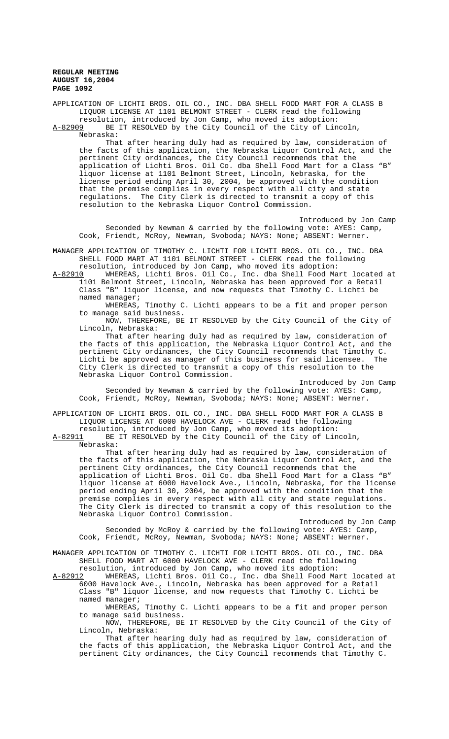APPLICATION OF LICHTI BROS. OIL CO., INC. DBA SHELL FOOD MART FOR A CLASS B LIQUOR LICENSE AT 1101 BELMONT STREET - CLERK read the following resolution, introduced by Jon Camp, who moved its adoption: A-82909 BE IT RESOLVED by the City Council of the City of Lincoln, Nebraska: That after hearing duly had as required by law, consideration of the facts of this application, the Nebraska Liquor Control Act, and the pertinent City ordinances, the City Council recommends that the application of Lichti Bros. Oil Co. dba Shell Food Mart for a Class "B" liquor license at 1101 Belmont Street, Lincoln, Nebraska, for the license period ending April 30, 2004, be approved with the condition that the premise complies in every respect with all city and state regulations. The City Clerk is directed to transmit a copy of this resolution to the Nebraska Liquor Control Commission. Introduced by Jon Camp

Seconded by Newman & carried by the following vote: AYES: Camp, Cook, Friendt, McRoy, Newman, Svoboda; NAYS: None; ABSENT: Werner.

MANAGER APPLICATION OF TIMOTHY C. LICHTI FOR LICHTI BROS. OIL CO., INC. DBA SHELL FOOD MART AT 1101 BELMONT STREET - CLERK read the following

resolution, introduced by Jon Camp, who moved its adoption:<br>A-82910 WHEREAS, Lichti Bros. Oil Co., Inc. dba Shell Food Ma WHEREAS, Lichti Bros. Oil Co., Inc. dba Shell Food Mart located at 1101 Belmont Street, Lincoln, Nebraska has been approved for a Retail Class "B" liquor license, and now requests that Timothy C. Lichti be named manager;

WHEREAS, Timothy C. Lichti appears to be a fit and proper person to manage said business.

NOW, THEREFORE, BE IT RESOLVED by the City Council of the City of Lincoln, Nebraska:

That after hearing duly had as required by law, consideration of the facts of this application, the Nebraska Liquor Control Act, and the pertinent City ordinances, the City Council recommends that Timothy C. Lichti be approved as manager of this business for said licensee. City Clerk is directed to transmit a copy of this resolution to the Nebraska Liquor Control Commission.

Introduced by Jon Camp Seconded by Newman & carried by the following vote: AYES: Camp, Cook, Friendt, McRoy, Newman, Svoboda; NAYS: None; ABSENT: Werner.

APPLICATION OF LICHTI BROS. OIL CO., INC. DBA SHELL FOOD MART FOR A CLASS B LIQUOR LICENSE AT 6000 HAVELOCK AVE - CLERK read the following

resolution, introduced by Jon Camp, who moved its adoption: A-82911 BE IT RESOLVED by the City Council of the City of Lincoln,

Nebraska:

That after hearing duly had as required by law, consideration of the facts of this application, the Nebraska Liquor Control Act, and the pertinent City ordinances, the City Council recommends that the application of Lichti Bros. Oil Co. dba Shell Food Mart for a Class "B" liquor license at 6000 Havelock Ave., Lincoln, Nebraska, for the license period ending April 30, 2004, be approved with the condition that the premise complies in every respect with all city and state regulations. The City Clerk is directed to transmit a copy of this resolution to the Nebraska Liquor Control Commission.

Introduced by Jon Camp Seconded by McRoy & carried by the following vote: AYES: Camp, Cook, Friendt, McRoy, Newman, Svoboda; NAYS: None; ABSENT: Werner.

MANAGER APPLICATION OF TIMOTHY C. LICHTI FOR LICHTI BROS. OIL CO., INC. DBA SHELL FOOD MART AT 6000 HAVELOCK AVE - CLERK read the following resolution, introduced by Jon Camp, who moved its adoption:

A-82912 MHEREAS, Lichti Bros. Oil Co., Inc. dba Shell Food Mart located at 6000 Havelock Ave., Lincoln, Nebraska has been approved for a Retail Class "B" liquor license, and now requests that Timothy C. Lichti be named manager;

WHEREAS, Timothy C. Lichti appears to be a fit and proper person to manage said business.

NOW, THEREFORE, BE IT RESOLVED by the City Council of the City of Lincoln, Nebraska:

That after hearing duly had as required by law, consideration of the facts of this application, the Nebraska Liquor Control Act, and the pertinent City ordinances, the City Council recommends that Timothy C.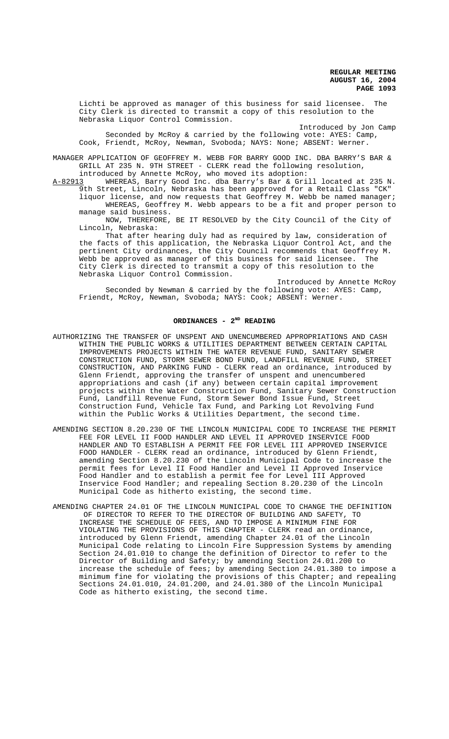Lichti be approved as manager of this business for said licensee. The City Clerk is directed to transmit a copy of this resolution to the Nebraska Liquor Control Commission.

Introduced by Jon Camp Seconded by McRoy & carried by the following vote: AYES: Camp, Cook, Friendt, McRoy, Newman, Svoboda; NAYS: None; ABSENT: Werner.

MANAGER APPLICATION OF GEOFFREY M. WEBB FOR BARRY GOOD INC. DBA BARRY'S BAR & GRILL AT 235 N. 9TH STREET - CLERK read the following resolution,

introduced by Annette McRoy, who moved its adoption: A-82913 WHEREAS, Barry Good Inc. dba Barry's Bar & Grill located at 235 N. 9th Street, Lincoln, Nebraska has been approved for a Retail Class "CK"

liquor license, and now requests that Geoffrey M. Webb be named manager; WHEREAS, Geoffrey M. Webb appears to be a fit and proper person to manage said business.

NOW, THEREFORE, BE IT RESOLVED by the City Council of the City of Lincoln, Nebraska:

That after hearing duly had as required by law, consideration of the facts of this application, the Nebraska Liquor Control Act, and the pertinent City ordinances, the City Council recommends that Geoffrey M. Webb be approved as manager of this business for said licensee. The City Clerk is directed to transmit a copy of this resolution to the Nebraska Liquor Control Commission.

Introduced by Annette McRoy Seconded by Newman & carried by the following vote: AYES: Camp, Friendt, McRoy, Newman, Svoboda; NAYS: Cook; ABSENT: Werner.

# ORDINANCES - 2<sup>ND</sup> READING

- AUTHORIZING THE TRANSFER OF UNSPENT AND UNENCUMBERED APPROPRIATIONS AND CASH WITHIN THE PUBLIC WORKS & UTILITIES DEPARTMENT BETWEEN CERTAIN CAPITAL IMPROVEMENTS PROJECTS WITHIN THE WATER REVENUE FUND, SANITARY SEWER CONSTRUCTION FUND, STORM SEWER BOND FUND, LANDFILL REVENUE FUND, STREET CONSTRUCTION, AND PARKING FUND - CLERK read an ordinance, introduced by Glenn Friendt, approving the transfer of unspent and unencumbered appropriations and cash (if any) between certain capital improvement projects within the Water Construction Fund, Sanitary Sewer Construction Fund, Landfill Revenue Fund, Storm Sewer Bond Issue Fund, Street Construction Fund, Vehicle Tax Fund, and Parking Lot Revolving Fund within the Public Works & Utilities Department, the second time.
- AMENDING SECTION 8.20.230 OF THE LINCOLN MUNICIPAL CODE TO INCREASE THE PERMIT FEE FOR LEVEL II FOOD HANDLER AND LEVEL II APPROVED INSERVICE FOOD HANDLER AND TO ESTABLISH A PERMIT FEE FOR LEVEL III APPROVED INSERVICE FOOD HANDLER - CLERK read an ordinance, introduced by Glenn Friendt, amending Section 8.20.230 of the Lincoln Municipal Code to increase the permit fees for Level II Food Handler and Level II Approved Inservice Food Handler and to establish a permit fee for Level III Approved Inservice Food Handler; and repealing Section 8.20.230 of the Lincoln Municipal Code as hitherto existing, the second time.
- AMENDING CHAPTER 24.01 OF THE LINCOLN MUNICIPAL CODE TO CHANGE THE DEFINITION OF DIRECTOR TO REFER TO THE DIRECTOR OF BUILDING AND SAFETY, TO INCREASE THE SCHEDULE OF FEES, AND TO IMPOSE A MINIMUM FINE FOR VIOLATING THE PROVISIONS OF THIS CHAPTER - CLERK read an ordinance, introduced by Glenn Friendt, amending Chapter 24.01 of the Lincoln Municipal Code relating to Lincoln Fire Suppression Systems by amending Section 24.01.010 to change the definition of Director to refer to the Director of Building and Safety; by amending Section 24.01.200 to increase the schedule of fees; by amending Section 24.01.380 to impose a minimum fine for violating the provisions of this Chapter; and repealing Sections 24.01.010, 24.01.200, and 24.01.380 of the Lincoln Municipal Code as hitherto existing, the second time.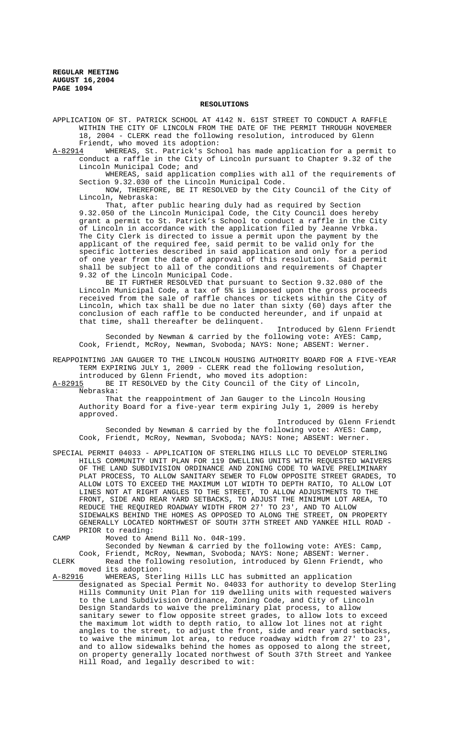### **RESOLUTIONS**

APPLICATION OF ST. PATRICK SCHOOL AT 4142 N. 61ST STREET TO CONDUCT A RAFFLE WITHIN THE CITY OF LINCOLN FROM THE DATE OF THE PERMIT THROUGH NOVEMBER 18, 2004 - CLERK read the following resolution, introduced by Glenn

Friendt, who moved its adoption:<br>A-82914 WHEREAS, St. Patrick's Sch WHEREAS, St. Patrick's School has made application for a permit to conduct a raffle in the City of Lincoln pursuant to Chapter 9.32 of the Lincoln Municipal Code; and

WHEREAS, said application complies with all of the requirements of Section 9.32.030 of the Lincoln Municipal Code.

NOW, THEREFORE, BE IT RESOLVED by the City Council of the City of Lincoln, Nebraska:

That, after public hearing duly had as required by Section 9.32.050 of the Lincoln Municipal Code, the City Council does hereby grant a permit to St. Patrick's School to conduct a raffle in the City of Lincoln in accordance with the application filed by Jeanne Vrbka. The City Clerk is directed to issue a permit upon the payment by the applicant of the required fee, said permit to be valid only for the specific lotteries described in said application and only for a period of one year from the date of approval of this resolution. Said permit shall be subject to all of the conditions and requirements of Chapter 9.32 of the Lincoln Municipal Code.

BE IT FURTHER RESOLVED that pursuant to Section 9.32.080 of the Lincoln Municipal Code, a tax of 5% is imposed upon the gross proceeds received from the sale of raffle chances or tickets within the City of Lincoln, which tax shall be due no later than sixty (60) days after the conclusion of each raffle to be conducted hereunder, and if unpaid at that time, shall thereafter be delinquent.

Introduced by Glenn Friendt Seconded by Newman & carried by the following vote: AYES: Camp, Cook, Friendt, McRoy, Newman, Svoboda; NAYS: None; ABSENT: Werner.

REAPPOINTING JAN GAUGER TO THE LINCOLN HOUSING AUTHORITY BOARD FOR A FIVE-YEAR TERM EXPIRING JULY 1, 2009 - CLERK read the following resolution,

introduced by Glenn Friendt, who moved its adoption: A-82915 BE IT RESOLVED by the City Council of the City of Lincoln,

Nebraska:

That the reappointment of Jan Gauger to the Lincoln Housing Authority Board for a five-year term expiring July 1, 2009 is hereby approved.

Introduced by Glenn Friendt

Seconded by Newman & carried by the following vote: AYES: Camp, Cook, Friendt, McRoy, Newman, Svoboda; NAYS: None; ABSENT: Werner.

SPECIAL PERMIT 04033 - APPLICATION OF STERLING HILLS LLC TO DEVELOP STERLING HILLS COMMUNITY UNIT PLAN FOR 119 DWELLING UNITS WITH REQUESTED WAIVERS OF THE LAND SUBDIVISION ORDINANCE AND ZONING CODE TO WAIVE PRELIMINARY PLAT PROCESS, TO ALLOW SANITARY SEWER TO FLOW OPPOSITE STREET GRADES, TO ALLOW LOTS TO EXCEED THE MAXIMUM LOT WIDTH TO DEPTH RATIO, TO ALLOW LOT LINES NOT AT RIGHT ANGLES TO THE STREET, TO ALLOW ADJUSTMENTS TO THE FRONT, SIDE AND REAR YARD SETBACKS, TO ADJUST THE MINIMUM LOT AREA, TO REDUCE THE REQUIRED ROADWAY WIDTH FROM 27' TO 23', AND TO ALLOW SIDEWALKS BEHIND THE HOMES AS OPPOSED TO ALONG THE STREET, ON PROPERTY GENERALLY LOCATED NORTHWEST OF SOUTH 37TH STREET AND YANKEE HILL ROAD - PRIOR to reading:

CAMP Moved to Amend Bill No. 04R-199.

Seconded by Newman & carried by the following vote: AYES: Camp,

Cook, Friendt, McRoy, Newman, Svoboda; NAYS: None; ABSENT: Werner. CLERK Read the following resolution, introduced by Glenn Friendt, who

moved its adoption:<br>A-82916 WHEREAS, Ster WHEREAS, Sterling Hills LLC has submitted an application designated as Special Permit No. 04033 for authority to develop Sterling Hills Community Unit Plan for 119 dwelling units with requested waivers to the Land Subdivision Ordinance, Zoning Code, and City of Lincoln Design Standards to waive the preliminary plat process, to allow sanitary sewer to flow opposite street grades, to allow lots to exceed the maximum lot width to depth ratio, to allow lot lines not at right angles to the street, to adjust the front, side and rear yard setbacks, to waive the minimum lot area, to reduce roadway width from 27' to 23', and to allow sidewalks behind the homes as opposed to along the street, on property generally located northwest of South 37th Street and Yankee Hill Road, and legally described to wit: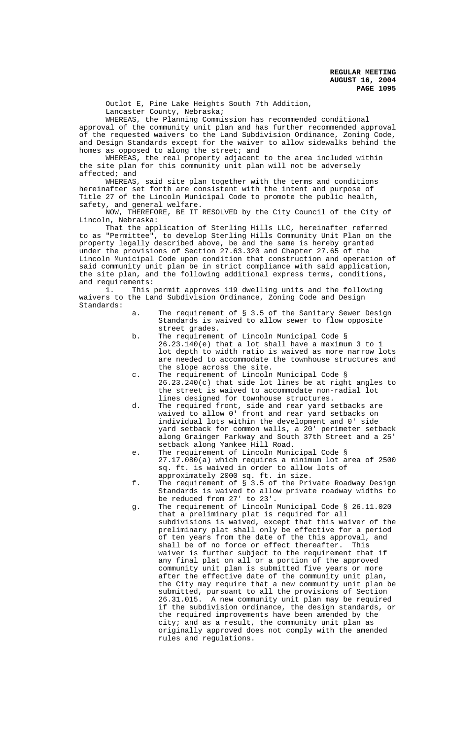Outlot E, Pine Lake Heights South 7th Addition, Lancaster County, Nebraska;

WHEREAS, the Planning Commission has recommended conditional approval of the community unit plan and has further recommended approval of the requested waivers to the Land Subdivision Ordinance, Zoning Code, and Design Standards except for the waiver to allow sidewalks behind the homes as opposed to along the street; and

WHEREAS, the real property adjacent to the area included within the site plan for this community unit plan will not be adversely affected; and

WHEREAS, said site plan together with the terms and conditions hereinafter set forth are consistent with the intent and purpose of Title 27 of the Lincoln Municipal Code to promote the public health, safety, and general welfare.

NOW, THEREFORE, BE IT RESOLVED by the City Council of the City of Lincoln, Nebraska:

That the application of Sterling Hills LLC, hereinafter referred to as "Permittee", to develop Sterling Hills Community Unit Plan on the property legally described above, be and the same is hereby granted under the provisions of Section 27.63.320 and Chapter 27.65 of the Lincoln Municipal Code upon condition that construction and operation of said community unit plan be in strict compliance with said application, the site plan, and the following additional express terms, conditions, and requirements:

1. This permit approves 119 dwelling units and the following waivers to the Land Subdivision Ordinance, Zoning Code and Design Standards:

- a. The requirement of § 3.5 of the Sanitary Sewer Design Standards is waived to allow sewer to flow opposite street grades.
- b. The requirement of Lincoln Municipal Code § 26.23.140(e) that a lot shall have a maximum 3 to 1 lot depth to width ratio is waived as more narrow lots are needed to accommodate the townhouse structures and the slope across the site.
- c. The requirement of Lincoln Municipal Code § 26.23.240(c) that side lot lines be at right angles to the street is waived to accommodate non-radial lot lines designed for townhouse structures.
- d. The required front, side and rear yard setbacks are waived to allow 0' front and rear yard setbacks on individual lots within the development and 0' side yard setback for common walls, a 20' perimeter setback along Grainger Parkway and South 37th Street and a 25' setback along Yankee Hill Road.
- e. The requirement of Lincoln Municipal Code § 27.17.080(a) which requires a minimum lot area of 2500 sq. ft. is waived in order to allow lots of approximately 2000 sq. ft. in size.
- f. The requirement of § 3.5 of the Private Roadway Design Standards is waived to allow private roadway widths to be reduced from 27' to 23'.
- g. The requirement of Lincoln Municipal Code § 26.11.020 that a preliminary plat is required for all subdivisions is waived, except that this waiver of the preliminary plat shall only be effective for a period of ten years from the date of the this approval, and shall be of no force or effect thereafter. This waiver is further subject to the requirement that if any final plat on all or a portion of the approved community unit plan is submitted five years or more after the effective date of the community unit plan, the City may require that a new community unit plan be submitted, pursuant to all the provisions of Section 26.31.015. A new community unit plan may be required if the subdivision ordinance, the design standards, or the required improvements have been amended by the city; and as a result, the community unit plan as originally approved does not comply with the amended rules and regulations.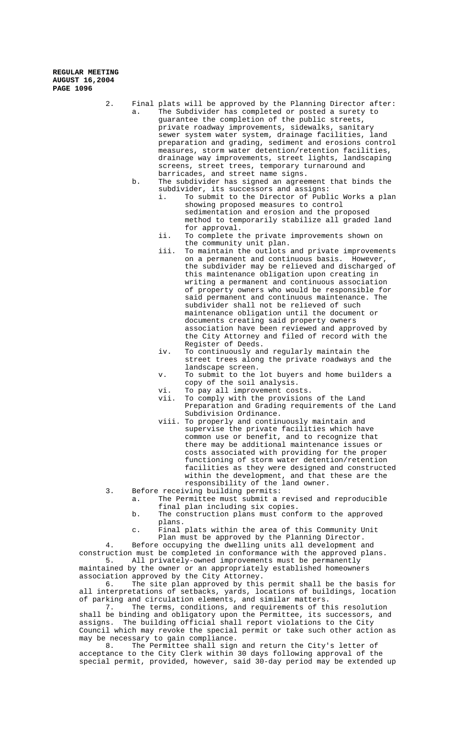2. Final plats will be approved by the Planning Director after: a. The Subdivider has completed or posted a surety to guarantee the completion of the public streets, private roadway improvements, sidewalks, sanitary sewer system water system, drainage facilities, land preparation and grading, sediment and erosions control measures, storm water detention/retention facilities, drainage way improvements, street lights, landscaping screens, street trees, temporary turnaround and barricades, and street name signs.

- b. The subdivider has signed an agreement that binds the
	- subdivider, its successors and assigns:<br>i. To submit to the Director of Publ To submit to the Director of Public Works a plan showing proposed measures to control sedimentation and erosion and the proposed method to temporarily stabilize all graded land for approval.
	- ii. To complete the private improvements shown on the community unit plan.
	- iii. To maintain the outlots and private improvements on a permanent and continuous basis. However, the subdivider may be relieved and discharged of this maintenance obligation upon creating in writing a permanent and continuous association of property owners who would be responsible for said permanent and continuous maintenance. The subdivider shall not be relieved of such maintenance obligation until the document or documents creating said property owners association have been reviewed and approved by the City Attorney and filed of record with the Register of Deeds.
	- iv. To continuously and regularly maintain the street trees along the private roadways and the landscape screen.
	- v. To submit to the lot buyers and home builders a copy of the soil analysis.
	- vi. To pay all improvement costs.
	- vii. To comply with the provisions of the Land Preparation and Grading requirements of the Land Subdivision Ordinance.
	- viii. To properly and continuously maintain and supervise the private facilities which have common use or benefit, and to recognize that there may be additional maintenance issues or costs associated with providing for the proper functioning of storm water detention/retention facilities as they were designed and constructed within the development, and that these are the responsibility of the land owner.
- 3. Before receiving building permits:
	- a. The Permittee must submit a revised and reproducible final plan including six copies.
		- b. The construction plans must conform to the approved plans.
		- c. Final plats within the area of this Community Unit Plan must be approved by the Planning Director.

4. Before occupying the dwelling units all development and construction must be completed in conformance with the approved plans.

5. All privately-owned improvements must be permanently maintained by the owner or an appropriately established homeowners association approved by the City Attorney.

6. The site plan approved by this permit shall be the basis for all interpretations of setbacks, yards, locations of buildings, location of parking and circulation elements, and similar matters.<br>7. The terms, conditions, and requirements of th

The terms, conditions, and requirements of this resolution shall be binding and obligatory upon the Permittee, its successors, and assigns. The building official shall report violations to the City Council which may revoke the special permit or take such other action as may be necessary to gain compliance.<br>8. The Permittee shall sign

The Permittee shall sign and return the City's letter of acceptance to the City Clerk within 30 days following approval of the special permit, provided, however, said 30-day period may be extended up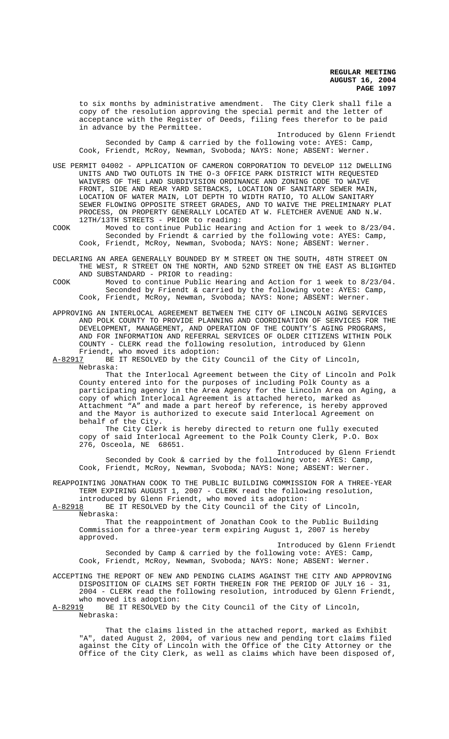to six months by administrative amendment. The City Clerk shall file a copy of the resolution approving the special permit and the letter of acceptance with the Register of Deeds, filing fees therefor to be paid in advance by the Permittee.

Introduced by Glenn Friendt Seconded by Camp & carried by the following vote: AYES: Camp, Cook, Friendt, McRoy, Newman, Svoboda; NAYS: None; ABSENT: Werner.

USE PERMIT 04002 - APPLICATION OF CAMERON CORPORATION TO DEVELOP 112 DWELLING UNITS AND TWO OUTLOTS IN THE O-3 OFFICE PARK DISTRICT WITH REQUESTED WAIVERS OF THE LAND SUBDIVISION ORDINANCE AND ZONING CODE TO WAIVE FRONT, SIDE AND REAR YARD SETBACKS, LOCATION OF SANITARY SEWER MAIN, LOCATION OF WATER MAIN, LOT DEPTH TO WIDTH RATIO, TO ALLOW SANITARY SEWER FLOWING OPPOSITE STREET GRADES, AND TO WAIVE THE PRELIMINARY PLAT PROCESS, ON PROPERTY GENERALLY LOCATED AT W. FLETCHER AVENUE AND N.W. 12TH/13TH STREETS - PRIOR to reading:

COOK Moved to continue Public Hearing and Action for 1 week to 8/23/04. Seconded by Friendt & carried by the following vote: AYES: Camp, Cook, Friendt, McRoy, Newman, Svoboda; NAYS: None; ABSENT: Werner.

DECLARING AN AREA GENERALLY BOUNDED BY M STREET ON THE SOUTH, 48TH STREET ON THE WEST, R STREET ON THE NORTH, AND 52ND STREET ON THE EAST AS BLIGHTED AND SUBSTANDARD - PRIOR to reading:

COOK Moved to continue Public Hearing and Action for 1 week to 8/23/04. Seconded by Friendt & carried by the following vote: AYES: Camp, Cook, Friendt, McRoy, Newman, Svoboda; NAYS: None; ABSENT: Werner.

APPROVING AN INTERLOCAL AGREEMENT BETWEEN THE CITY OF LINCOLN AGING SERVICES AND POLK COUNTY TO PROVIDE PLANNING AND COORDINATION OF SERVICES FOR THE DEVELOPMENT, MANAGEMENT, AND OPERATION OF THE COUNTY'S AGING PROGRAMS, AND FOR INFORMATION AND REFERRAL SERVICES OF OLDER CITIZENS WITHIN POLK COUNTY - CLERK read the following resolution, introduced by Glenn

Friendt, who moved its adoption:<br>A-82917 BE IT RESOLVED by the City BE IT RESOLVED by the City Council of the City of Lincoln, Nebraska:

That the Interlocal Agreement between the City of Lincoln and Polk County entered into for the purposes of including Polk County as a participating agency in the Area Agency for the Lincoln Area on Aging, a copy of which Interlocal Agreement is attached hereto, marked as Attachment "A" and made a part hereof by reference, is hereby approved and the Mayor is authorized to execute said Interlocal Agreement on behalf of the City.

The City Clerk is hereby directed to return one fully executed copy of said Interlocal Agreement to the Polk County Clerk, P.O. Box 276, Osceola, NE 68651.

Introduced by Glenn Friendt Seconded by Cook & carried by the following vote: AYES: Camp, Cook, Friendt, McRoy, Newman, Svoboda; NAYS: None; ABSENT: Werner.

REAPPOINTING JONATHAN COOK TO THE PUBLIC BUILDING COMMISSION FOR A THREE-YEAR TERM EXPIRING AUGUST 1, 2007 - CLERK read the following resolution, introduced by Glenn Friendt, who moved its adoption:

A-82918 BE IT RESOLVED by the City Council of the City of Lincoln, Nebraska:

That the reappointment of Jonathan Cook to the Public Building Commission for a three-year term expiring August 1, 2007 is hereby approved.

Introduced by Glenn Friendt Seconded by Camp & carried by the following vote: AYES: Camp, Cook, Friendt, McRoy, Newman, Svoboda; NAYS: None; ABSENT: Werner.

ACCEPTING THE REPORT OF NEW AND PENDING CLAIMS AGAINST THE CITY AND APPROVING DISPOSITION OF CLAIMS SET FORTH THEREIN FOR THE PERIOD OF JULY 16 - 31, 2004 - CLERK read the following resolution, introduced by Glenn Friendt, who moved its adoption:<br>A-82919 BE IT RESOLVED by

BE IT RESOLVED by the City Council of the City of Lincoln, Nebraska:

That the claims listed in the attached report, marked as Exhibit "A", dated August 2, 2004, of various new and pending tort claims filed against the City of Lincoln with the Office of the City Attorney or the Office of the City Clerk, as well as claims which have been disposed of,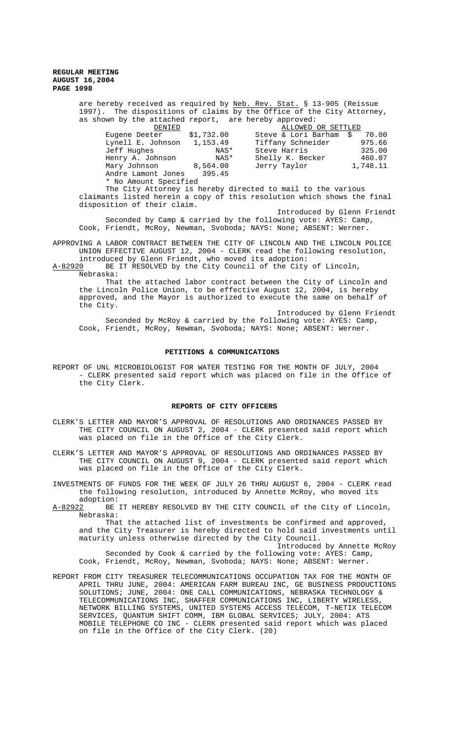are hereby received as required by <u>Neb. Rev. Stat.</u> § 13-905 (Reissue 1997). The dispositions of claims by the Office of the City Attorney, as shown by the attached report, are hereby approved:

| DENIED                |            | ALLOWED OR SETTLED     |          |
|-----------------------|------------|------------------------|----------|
| Eugene Deeter         | \$1,732.00 | Steve & Lori Barham \$ | 70.00    |
| Lynell E. Johnson     | 1,153.49   | Tiffany Schneider      | 975.66   |
| Jeff Hughes           | NAS*       | Steve Harris           | 325.00   |
| Henry A. Johnson      | NAS*       | Shelly K. Becker       | 460.07   |
| Mary Johnson 8,564.00 |            | Jerry Taylor           | 1,748.11 |
| Andre Lamont Jones    | 395.45     |                        |          |
| * No Amount Specified |            |                        |          |

The City Attorney is hereby directed to mail to the various claimants listed herein a copy of this resolution which shows the final disposition of their claim.

Introduced by Glenn Friendt Seconded by Camp & carried by the following vote: AYES: Camp, Cook, Friendt, McRoy, Newman, Svoboda; NAYS: None; ABSENT: Werner.

APPROVING A LABOR CONTRACT BETWEEN THE CITY OF LINCOLN AND THE LINCOLN POLICE UNION EFFECTIVE AUGUST 12, 2004 - CLERK read the following resolution,

introduced by Glenn Friendt, who moved its adoption:<br>A-82920 BE IT RESOLVED by the City Council of the City BE IT RESOLVED by the City Council of the City of Lincoln, Nebraska:

That the attached labor contract between the City of Lincoln and the Lincoln Police Union, to be effective August 12, 2004, is hereby approved, and the Mayor is authorized to execute the same on behalf of the City.

Introduced by Glenn Friendt Seconded by McRoy & carried by the following vote: AYES: Camp, Cook, Friendt, McRoy, Newman, Svoboda; NAYS: None; ABSENT: Werner.

#### **PETITIONS & COMMUNICATIONS**

REPORT OF UNL MICROBIOLOGIST FOR WATER TESTING FOR THE MONTH OF JULY, 2004 - CLERK presented said report which was placed on file in the Office of the City Clerk.

#### **REPORTS OF CITY OFFICERS**

- CLERK'S LETTER AND MAYOR'S APPROVAL OF RESOLUTIONS AND ORDINANCES PASSED BY THE CITY COUNCIL ON AUGUST 2, 2004 - CLERK presented said report which was placed on file in the Office of the City Clerk.
- CLERK'S LETTER AND MAYOR'S APPROVAL OF RESOLUTIONS AND ORDINANCES PASSED BY THE CITY COUNCIL ON AUGUST 9, 2004 - CLERK presented said report which was placed on file in the Office of the City Clerk.
- INVESTMENTS OF FUNDS FOR THE WEEK OF JULY 26 THRU AUGUST 6, 2004 CLERK read the following resolution, introduced by Annette McRoy, who moved its adoption:
- A-82922 BE IT HEREBY RESOLVED BY THE CITY COUNCIL of the City of Lincoln, Nebraska:

That the attached list of investments be confirmed and approved, and the City Treasurer is hereby directed to hold said investments until maturity unless otherwise directed by the City Council.

Introduced by Annette McRoy

- Seconded by Cook & carried by the following vote: AYES: Camp, Cook, Friendt, McRoy, Newman, Svoboda; NAYS: None; ABSENT: Werner.
- REPORT FROM CITY TREASURER TELECOMMUNICATIONS OCCUPATION TAX FOR THE MONTH OF APRIL THRU JUNE, 2004: AMERICAN FARM BUREAU INC, GE BUSINESS PRODUCTIONS SOLUTIONS; JUNE, 2004: ONE CALL COMMUNICATIONS, NEBRASKA TECHNOLOGY & TELECOMMUNICATIONS INC, SHAFFER COMMUNICATIONS INC, LIBERTY WIRELESS, NETWORK BILLING SYSTEMS, UNITED SYSTEMS ACCESS TELECOM, T-NETIX TELECOM SERVICES, QUANTUM SHIFT COMM, IBM GLOBAL SERVICES; JULY, 2004: ATS MOBILE TELEPHONE CO INC - CLERK presented said report which was placed on file in the Office of the City Clerk. (20)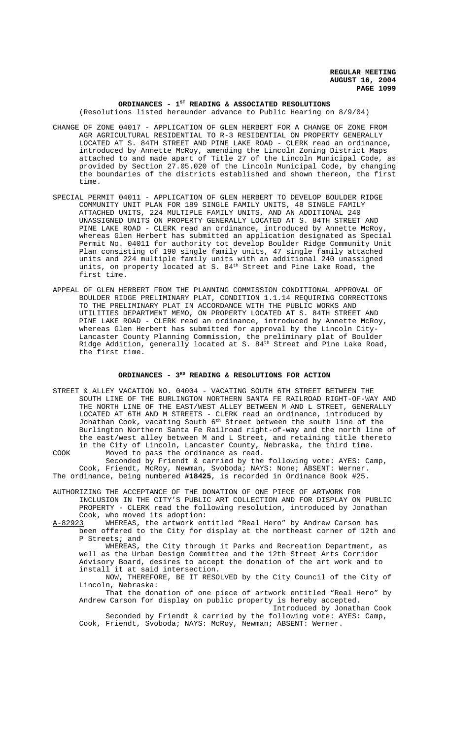## ORDINANCES - 1<sup>st</sup> READING & ASSOCIATED RESOLUTIONS (Resolutions listed hereunder advance to Public Hearing on 8/9/04)

- CHANGE OF ZONE 04017 APPLICATION OF GLEN HERBERT FOR A CHANGE OF ZONE FROM AGR AGRICULTURAL RESIDENTIAL TO R-3 RESIDENTIAL ON PROPERTY GENERALLY LOCATED AT S. 84TH STREET AND PINE LAKE ROAD - CLERK read an ordinance, introduced by Annette McRoy, amending the Lincoln Zoning District Maps attached to and made apart of Title 27 of the Lincoln Municipal Code, as provided by Section 27.05.020 of the Lincoln Municipal Code, by changing the boundaries of the districts established and shown thereon, the first time.
- SPECIAL PERMIT 04011 APPLICATION OF GLEN HERBERT TO DEVELOP BOULDER RIDGE COMMUNITY UNIT PLAN FOR 189 SINGLE FAMILY UNITS, 48 SINGLE FAMILY ATTACHED UNITS, 224 MULTIPLE FAMILY UNITS, AND AN ADDITIONAL 240 UNASSIGNED UNITS ON PROPERTY GENERALLY LOCATED AT S. 84TH STREET AND PINE LAKE ROAD - CLERK read an ordinance, introduced by Annette McRoy, whereas Glen Herbert has submitted an application designated as Special Permit No. 04011 for authority tot develop Boulder Ridge Community Unit Plan consisting of 190 single family units, 47 single family attached units and 224 multiple family units with an additional 240 unassigned units, on property located at S. 84<sup>th</sup> Street and Pine Lake Road, the first time.
- APPEAL OF GLEN HERBERT FROM THE PLANNING COMMISSION CONDITIONAL APPROVAL OF BOULDER RIDGE PRELIMINARY PLAT, CONDITION 1.1.14 REQUIRING CORRECTIONS TO THE PRELIMINARY PLAT IN ACCORDANCE WITH THE PUBLIC WORKS AND UTILITIES DEPARTMENT MEMO, ON PROPERTY LOCATED AT S. 84TH STREET AND PINE LAKE ROAD - CLERK read an ordinance, introduced by Annette McRoy, whereas Glen Herbert has submitted for approval by the Lincoln City-Lancaster County Planning Commission, the preliminary plat of Boulder Ridge Addition, generally located at S.  $84<sup>th</sup>$  Street and Pine Lake Road, the first time.

# ORDINANCES - 3<sup>RD</sup> READING & RESOLUTIONS FOR ACTION

STREET & ALLEY VACATION NO. 04004 - VACATING SOUTH 6TH STREET BETWEEN THE SOUTH LINE OF THE BURLINGTON NORTHERN SANTA FE RAILROAD RIGHT-OF-WAY AND THE NORTH LINE OF THE EAST/WEST ALLEY BETWEEN M AND L STREET, GENERALLY LOCATED AT 6TH AND M STREETS - CLERK read an ordinance, introduced by Jonathan Cook, vacating South 6th Street between the south line of the Burlington Northern Santa Fe Railroad right-of-way and the north line of the east/west alley between M and L Street, and retaining title thereto in the City of Lincoln, Lancaster County, Nebraska, the third time. COOK Moved to pass the ordinance as read.

Seconded by Friendt & carried by the following vote: AYES: Camp, Cook, Friendt, McRoy, Newman, Svoboda; NAYS: None; ABSENT: Werner. The ordinance, being numbered **#18425**, is recorded in Ordinance Book #25.

- AUTHORIZING THE ACCEPTANCE OF THE DONATION OF ONE PIECE OF ARTWORK FOR INCLUSION IN THE CITY'S PUBLIC ART COLLECTION AND FOR DISPLAY ON PUBLIC PROPERTY - CLERK read the following resolution, introduced by Jonathan Cook, who moved its adoption:
- A-82923 WHEREAS, the artwork entitled "Real Hero" by Andrew Carson has been offered to the City for display at the northeast corner of 12th and P Streets; and

WHEREAS, the City through it Parks and Recreation Department, as well as the Urban Design Committee and the 12th Street Arts Corridor Advisory Board, desires to accept the donation of the art work and to install it at said intersection.

NOW, THEREFORE, BE IT RESOLVED by the City Council of the City of Lincoln, Nebraska:

That the donation of one piece of artwork entitled "Real Hero" by Andrew Carson for display on public property is hereby accepted. Introduced by Jonathan Cook

Seconded by Friendt & carried by the following vote: AYES: Camp, Cook, Friendt, Svoboda; NAYS: McRoy, Newman; ABSENT: Werner.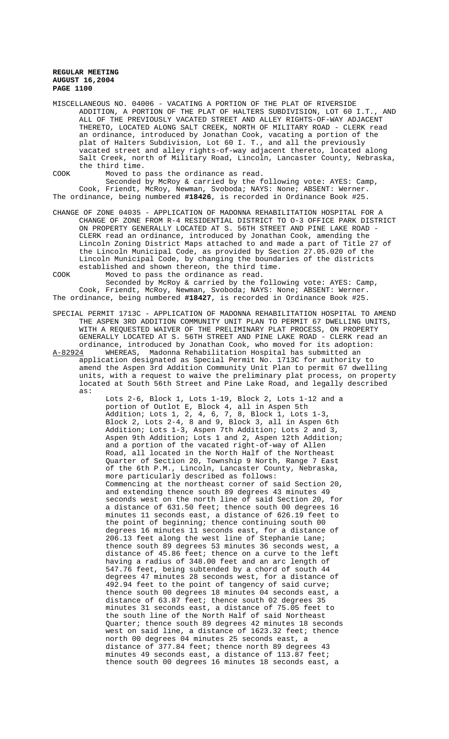MISCELLANEOUS NO. 04006 - VACATING A PORTION OF THE PLAT OF RIVERSIDE ADDITION, A PORTION OF THE PLAT OF HALTERS SUBDIVISION, LOT 60 I.T., AND ALL OF THE PREVIOUSLY VACATED STREET AND ALLEY RIGHTS-OF-WAY ADJACENT THERETO, LOCATED ALONG SALT CREEK, NORTH OF MILITARY ROAD - CLERK read an ordinance, introduced by Jonathan Cook, vacating a portion of the plat of Halters Subdivision, Lot 60 I. T., and all the previously vacated street and alley rights-of-way adjacent thereto, located along Salt Creek, north of Military Road, Lincoln, Lancaster County, Nebraska, the third time.

COOK Moved to pass the ordinance as read.

Seconded by McRoy & carried by the following vote: AYES: Camp, Cook, Friendt, McRoy, Newman, Svoboda; NAYS: None; ABSENT: Werner. The ordinance, being numbered **#18426**, is recorded in Ordinance Book #25.

- CHANGE OF ZONE 04035 APPLICATION OF MADONNA REHABILITATION HOSPITAL FOR A CHANGE OF ZONE FROM R-4 RESIDENTIAL DISTRICT TO O-3 OFFICE PARK DISTRICT ON PROPERTY GENERALLY LOCATED AT S. 56TH STREET AND PINE LAKE ROAD - CLERK read an ordinance, introduced by Jonathan Cook, amending the Lincoln Zoning District Maps attached to and made a part of Title 27 of the Lincoln Municipal Code, as provided by Section 27.05.020 of the Lincoln Municipal Code, by changing the boundaries of the districts established and shown thereon, the third time.
- COOK Moved to pass the ordinance as read.

Seconded by McRoy & carried by the following vote: AYES: Camp, Cook, Friendt, McRoy, Newman, Svoboda; NAYS: None; ABSENT: Werner. The ordinance, being numbered **#18427**, is recorded in Ordinance Book #25.

- SPECIAL PERMIT 1713C APPLICATION OF MADONNA REHABILITATION HOSPITAL TO AMEND THE ASPEN 3RD ADDITION COMMUNITY UNIT PLAN TO PERMIT 67 DWELLING UNITS, WITH A REQUESTED WAIVER OF THE PRELIMINARY PLAT PROCESS, ON PROPERTY GENERALLY LOCATED AT S. 56TH STREET AND PINE LAKE ROAD - CLERK read an ordinance, introduced by Jonathan Cook, who moved for its adoption:<br>A-82924 WHEREAS, Madonna Rehabilitation Hospital has submitted an
- WHEREAS, Madonna Rehabilitation Hospital has submitted an application designated as Special Permit No. 1713C for authority to amend the Aspen 3rd Addition Community Unit Plan to permit 67 dwelling units, with a request to waive the preliminary plat process, on property located at South 56th Street and Pine Lake Road, and legally described as:

Lots 2-6, Block 1, Lots 1-19, Block 2, Lots 1-12 and a portion of Outlot E, Block 4, all in Aspen 5th Addition; Lots 1, 2, 4, 6, 7, 8, Block 1, Lots 1-3, Block 2, Lots 2-4, 8 and 9, Block 3, all in Aspen 6th Addition; Lots 1-3, Aspen 7th Addition; Lots 2 and 3, Aspen 9th Addition; Lots 1 and 2, Aspen 12th Addition; and a portion of the vacated right-of-way of Allen Road, all located in the North Half of the Northeast Quarter of Section 20, Township 9 North, Range 7 East of the 6th P.M., Lincoln, Lancaster County, Nebraska, more particularly described as follows: Commencing at the northeast corner of said Section 20, and extending thence south 89 degrees 43 minutes 49 seconds west on the north line of said Section 20, for a distance of 631.50 feet; thence south 00 degrees 16 minutes 11 seconds east, a distance of 626.19 feet to the point of beginning; thence continuing south 00 degrees 16 minutes 11 seconds east, for a distance of 206.13 feet along the west line of Stephanie Lane; thence south 89 degrees 53 minutes 36 seconds west, a distance of 45.86 feet; thence on a curve to the left having a radius of 348.00 feet and an arc length of 547.76 feet, being subtended by a chord of south 44 degrees 47 minutes 28 seconds west, for a distance of 492.94 feet to the point of tangency of said curve; thence south 00 degrees 18 minutes 04 seconds east, a distance of 63.87 feet; thence south 02 degrees 35 minutes 31 seconds east, a distance of 75.05 feet to the south line of the North Half of said Northeast Quarter; thence south 89 degrees 42 minutes 18 seconds west on said line, a distance of 1623.32 feet; thence north 00 degrees 04 minutes 25 seconds east, a distance of 377.84 feet; thence north 89 degrees 43 minutes 49 seconds east, a distance of 113.87 feet; thence south 00 degrees 16 minutes 18 seconds east, a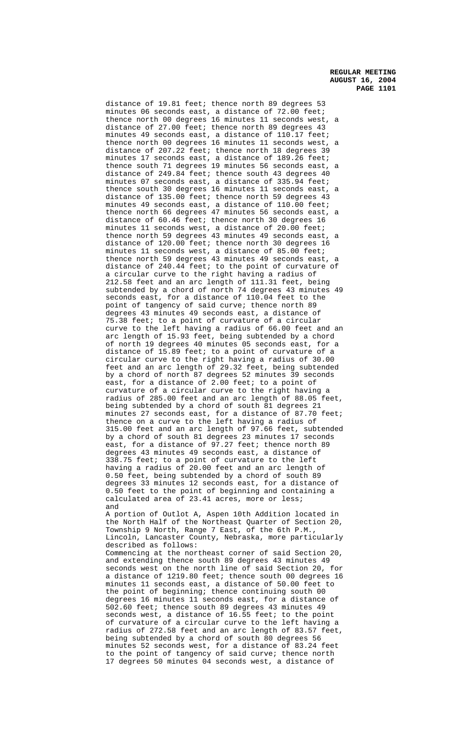distance of 19.81 feet; thence north 89 degrees 53 minutes 06 seconds east, a distance of  $72.00$  feet; thence north 00 degrees 16 minutes 11 seconds west, a distance of 27.00 feet; thence north 89 degrees 43 minutes 49 seconds east, a distance of 110.17 feet; thence north 00 degrees 16 minutes 11 seconds west, a distance of 207.22 feet; thence north 18 degrees 39 minutes 17 seconds east, a distance of 189.26 feet; thence south 71 degrees 19 minutes 56 seconds east, a distance of 249.84 feet; thence south 43 degrees 40 minutes 07 seconds east, a distance of 335.94 feet; thence south 30 degrees 16 minutes 11 seconds east, a distance of 135.00 feet; thence north 59 degrees 43 minutes 49 seconds east, a distance of 110.00 feet; thence north 66 degrees 47 minutes 56 seconds east, a distance of 60.46 feet; thence north 30 degrees 16 minutes 11 seconds west, a distance of 20.00 feet; thence north 59 degrees 43 minutes 49 seconds east, a distance of 120.00 feet; thence north 30 degrees 16 minutes 11 seconds west, a distance of 85.00 feet; thence north 59 degrees 43 minutes 49 seconds east, a distance of 240.44 feet; to the point of curvature of a circular curve to the right having a radius of 212.58 feet and an arc length of 111.31 feet, being subtended by a chord of north 74 degrees 43 minutes 49 seconds east, for a distance of 110.04 feet to the point of tangency of said curve; thence north 89 degrees 43 minutes 49 seconds east, a distance of 75.38 feet; to a point of curvature of a circular curve to the left having a radius of 66.00 feet and an arc length of 15.93 feet, being subtended by a chord of north 19 degrees 40 minutes 05 seconds east, for a distance of 15.89 feet; to a point of curvature of a circular curve to the right having a radius of 30.00 feet and an arc length of 29.32 feet, being subtended by a chord of north 87 degrees 52 minutes 39 seconds east, for a distance of 2.00 feet; to a point of curvature of a circular curve to the right having a radius of 285.00 feet and an arc length of 88.05 feet, being subtended by a chord of south 81 degrees 21 minutes 27 seconds east, for a distance of 87.70 feet; thence on a curve to the left having a radius of 315.00 feet and an arc length of 97.66 feet, subtended by a chord of south 81 degrees 23 minutes 17 seconds east, for a distance of 97.27 feet; thence north 89 degrees 43 minutes 49 seconds east, a distance of 338.75 feet; to a point of curvature to the left having a radius of 20.00 feet and an arc length of 0.50 feet, being subtended by a chord of south 89 degrees 33 minutes 12 seconds east, for a distance of 0.50 feet to the point of beginning and containing a calculated area of 23.41 acres, more or less; and A portion of Outlot A, Aspen 10th Addition located in

the North Half of the Northeast Quarter of Section 20, Township 9 North, Range 7 East, of the 6th P.M., Lincoln, Lancaster County, Nebraska, more particularly described as follows:

Commencing at the northeast corner of said Section 20, and extending thence south 89 degrees 43 minutes 49 seconds west on the north line of said Section 20, for a distance of 1219.80 feet; thence south 00 degrees 16 minutes 11 seconds east, a distance of 50.00 feet to the point of beginning; thence continuing south 00 degrees 16 minutes 11 seconds east, for a distance of 502.60 feet; thence south 89 degrees 43 minutes 49 seconds west, a distance of 16.55 feet; to the point of curvature of a circular curve to the left having a radius of 272.58 feet and an arc length of 83.57 feet, being subtended by a chord of south 80 degrees 56 minutes 52 seconds west, for a distance of 83.24 feet to the point of tangency of said curve; thence north 17 degrees 50 minutes 04 seconds west, a distance of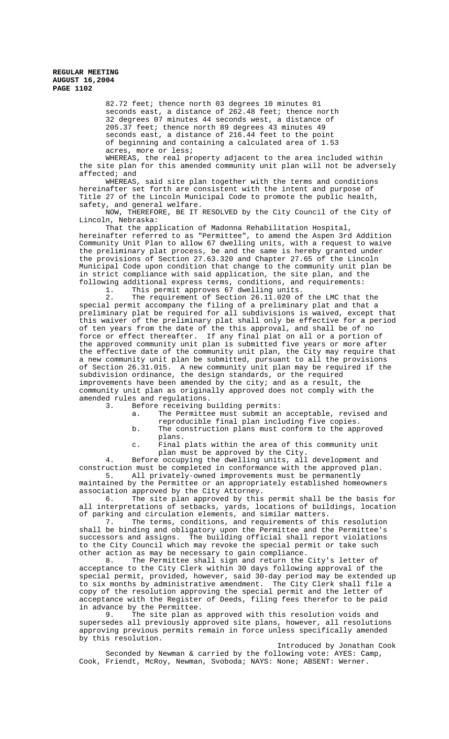> 82.72 feet; thence north 03 degrees 10 minutes 01 seconds east, a distance of  $262.48$  feet; thence north 32 degrees 07 minutes 44 seconds west, a distance of 205.37 feet; thence north 89 degrees 43 minutes 49 seconds east, a distance of 216.44 feet to the point of beginning and containing a calculated area of 1.53 acres, more or less;

WHEREAS, the real property adjacent to the area included within the site plan for this amended community unit plan will not be adversely affected; and

WHEREAS, said site plan together with the terms and conditions hereinafter set forth are consistent with the intent and purpose of Title 27 of the Lincoln Municipal Code to promote the public health, safety, and general welfare.

NOW, THEREFORE, BE IT RESOLVED by the City Council of the City of Lincoln, Nebraska:

That the application of Madonna Rehabilitation Hospital, hereinafter referred to as "Permittee", to amend the Aspen 3rd Addition Community Unit Plan to allow 67 dwelling units, with a request to waive the preliminary plat process, be and the same is hereby granted under the provisions of Section 27.63.320 and Chapter 27.65 of the Lincoln Municipal Code upon condition that change to the community unit plan be in strict compliance with said application, the site plan, and the following additional express terms, conditions, and requirements:

1. This permit approves 67 dwelling units.

2. The requirement of Section 26.11.020 of the LMC that the special permit accompany the filing of a preliminary plat and that a preliminary plat be required for all subdivisions is waived, except that this waiver of the preliminary plat shall only be effective for a period of ten years from the date of the this approval, and shall be of no force or effect thereafter. If any final plat on all or a portion of the approved community unit plan is submitted five years or more after the effective date of the community unit plan, the City may require that a new community unit plan be submitted, pursuant to all the provisions of Section 26.31.015. A new community unit plan may be required if the subdivision ordinance, the design standards, or the required improvements have been amended by the city; and as a result, the community unit plan as originally approved does not comply with the amended rules and regulations.

3. Before receiving building permits:

- a. The Permittee must submit an acceptable, revised and
- reproducible final plan including five copies. b. The construction plans must conform to the approved plans.
- c. Final plats within the area of this community unit plan must be approved by the City.

4. Before occupying the dwelling units, all development and construction must be completed in conformance with the approved plan.

5. All privately-owned improvements must be permanently maintained by the Permittee or an appropriately established homeowners association approved by the City Attorney.

6. The site plan approved by this permit shall be the basis for all interpretations of setbacks, yards, locations of buildings, location of parking and circulation elements, and similar matters.

7. The terms, conditions, and requirements of this resolution shall be binding and obligatory upon the Permittee and the Permittee's successors and assigns. The building official shall report violations to the City Council which may revoke the special permit or take such other action as may be necessary to gain compliance.<br>8. The Permittee shall sign and return the

The Permittee shall sign and return the City's letter of acceptance to the City Clerk within 30 days following approval of the special permit, provided, however, said 30-day period may be extended up to six months by administrative amendment. The City Clerk shall file a copy of the resolution approving the special permit and the letter of acceptance with the Register of Deeds, filing fees therefor to be paid in advance by the Permittee.

9. The site plan as approved with this resolution voids and supersedes all previously approved site plans, however, all resolutions approving previous permits remain in force unless specifically amended by this resolution.

Introduced by Jonathan Cook Seconded by Newman & carried by the following vote: AYES: Camp, Cook, Friendt, McRoy, Newman, Svoboda; NAYS: None; ABSENT: Werner.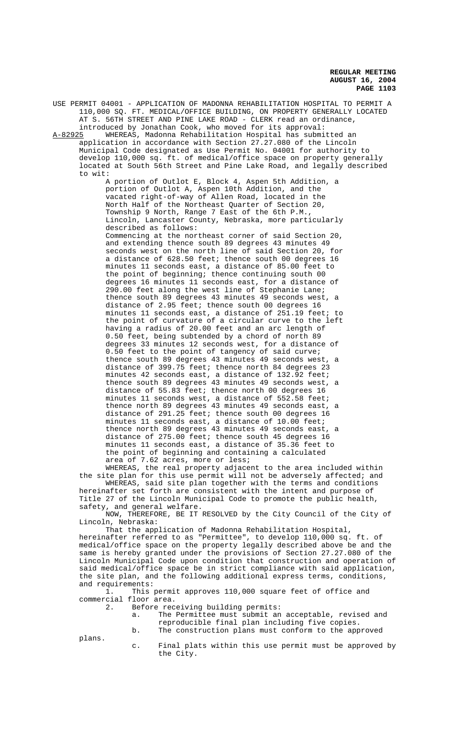USE PERMIT 04001 - APPLICATION OF MADONNA REHABILITATION HOSPITAL TO PERMIT A 110,000 SQ. FT. MEDICAL/OFFICE BUILDING, ON PROPERTY GENERALLY LOCATED AT S. 56TH STREET AND PINE LAKE ROAD - CLERK read an ordinance, introduced by Jonathan Cook, who moved for its approval: A-82925 WHEREAS, Madonna Rehabilitation Hospital has submitted an application in accordance with Section 27.27.080 of the Lincoln Municipal Code designated as Use Permit No. 04001 for authority to develop 110,000 sq. ft. of medical/office space on property generally located at South 56th Street and Pine Lake Road, and legally described to wit: A portion of Outlot E, Block 4, Aspen 5th Addition, a portion of Outlot A, Aspen 10th Addition, and the vacated right-of-way of Allen Road, located in the North Half of the Northeast Quarter of Section 20, Township 9 North, Range 7 East of the 6th P.M., Lincoln, Lancaster County, Nebraska, more particularly described as follows: Commencing at the northeast corner of said Section 20, and extending thence south 89 degrees 43 minutes 49 seconds west on the north line of said Section 20, for a distance of 628.50 feet; thence south 00 degrees 16 minutes 11 seconds east, a distance of 85.00 feet to the point of beginning; thence continuing south 00 degrees 16 minutes 11 seconds east, for a distance of 290.00 feet along the west line of Stephanie Lane; thence south 89 degrees 43 minutes 49 seconds west, a distance of 2.95 feet; thence south 00 degrees 16 minutes 11 seconds east, a distance of 251.19 feet; to the point of curvature of a circular curve to the left having a radius of 20.00 feet and an arc length of 0.50 feet, being subtended by a chord of north 89 degrees 33 minutes 12 seconds west, for a distance of 0.50 feet to the point of tangency of said curve; thence south 89 degrees 43 minutes 49 seconds west, a distance of 399.75 feet; thence north 84 degrees 23 minutes 42 seconds east, a distance of 132.92 feet; thence south 89 degrees 43 minutes 49 seconds west, a distance of 55.83 feet; thence north 00 degrees 16 minutes 11 seconds west, a distance of 552.58 feet; thence north 89 degrees 43 minutes 49 seconds east, a distance of 291.25 feet; thence south 00 degrees 16 minutes 11 seconds east, a distance of 10.00 feet; thence north 89 degrees 43 minutes 49 seconds east, a distance of 275.00 feet; thence south 45 degrees 16 minutes 11 seconds east, a distance of 35.36 feet to the point of beginning and containing a calculated area of 7.62 acres, more or less; WHEREAS, the real property adjacent to the area included within

the site plan for this use permit will not be adversely affected; and WHEREAS, said site plan together with the terms and conditions hereinafter set forth are consistent with the intent and purpose of Title 27 of the Lincoln Municipal Code to promote the public health, safety, and general welfare.

NOW, THEREFORE, BE IT RESOLVED by the City Council of the City of Lincoln, Nebraska:

That the application of Madonna Rehabilitation Hospital, hereinafter referred to as "Permittee", to develop 110,000 sq. ft. of medical/office space on the property legally described above be and the same is hereby granted under the provisions of Section 27.27.080 of the Lincoln Municipal Code upon condition that construction and operation of said medical/office space be in strict compliance with said application, the site plan, and the following additional express terms, conditions, and requirements:

1. This permit approves 110,000 square feet of office and commercial floor area.

2. Before receiving building permits:

a. The Permittee must submit an acceptable, revised and reproducible final plan including five copies. b. The construction plans must conform to the approved

plans.

c. Final plats within this use permit must be approved by the City.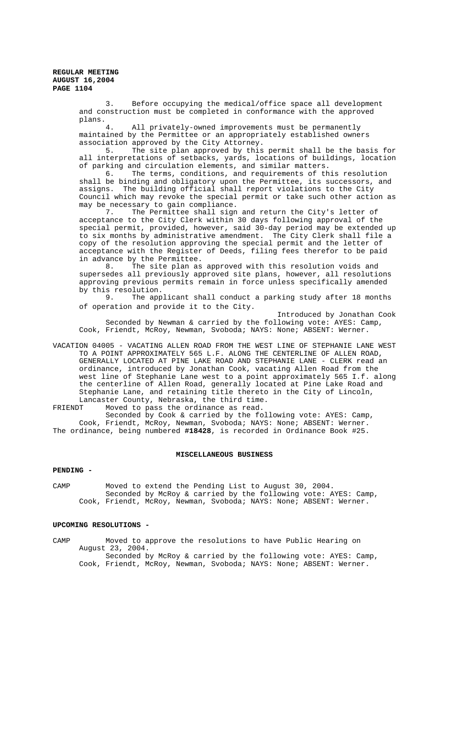> 3. Before occupying the medical/office space all development and construction must be completed in conformance with the approved plans.

4. All privately-owned improvements must be permanently maintained by the Permittee or an appropriately established owners association approved by the City Attorney.

5. The site plan approved by this permit shall be the basis for all interpretations of setbacks, yards, locations of buildings, location of parking and circulation elements, and similar matters.<br>6. The terms, conditions, and requirements of th

The terms, conditions, and requirements of this resolution shall be binding and obligatory upon the Permittee, its successors, and assigns. The building official shall report violations to the City Council which may revoke the special permit or take such other action as may be necessary to gain compliance.

7. The Permittee shall sign and return the City's letter of acceptance to the City Clerk within 30 days following approval of the special permit, provided, however, said 30-day period may be extended up to six months by administrative amendment. The City Clerk shall file a copy of the resolution approving the special permit and the letter of acceptance with the Register of Deeds, filing fees therefor to be paid in advance by the Permittee.<br>8. The site plan as

The site plan as approved with this resolution voids and supersedes all previously approved site plans, however, all resolutions approving previous permits remain in force unless specifically amended by this resolution.

9. The applicant shall conduct a parking study after 18 months of operation and provide it to the City.

Introduced by Jonathan Cook Seconded by Newman & carried by the following vote: AYES: Camp, Cook, Friendt, McRoy, Newman, Svoboda; NAYS: None; ABSENT: Werner.

VACATION 04005 - VACATING ALLEN ROAD FROM THE WEST LINE OF STEPHANIE LANE WEST TO A POINT APPROXIMATELY 565 L.F. ALONG THE CENTERLINE OF ALLEN ROAD, GENERALLY LOCATED AT PINE LAKE ROAD AND STEPHANIE LANE - CLERK read an ordinance, introduced by Jonathan Cook, vacating Allen Road from the west line of Stephanie Lane west to a point approximately 565 I.f. along the centerline of Allen Road, generally located at Pine Lake Road and Stephanie Lane, and retaining title thereto in the City of Lincoln, Lancaster County, Nebraska, the third time.

FRIENDT Moved to pass the ordinance as read.

Seconded by Cook & carried by the following vote: AYES: Camp, Cook, Friendt, McRoy, Newman, Svoboda; NAYS: None; ABSENT: Werner. The ordinance, being numbered **#18428**, is recorded in Ordinance Book #25.

## MISCELLANEOUS BUSINESS

#### **PENDING -**

CAMP Moved to extend the Pending List to August 30, 2004. Seconded by McRoy & carried by the following vote: AYES: Camp, Cook, Friendt, McRoy, Newman, Svoboda; NAYS: None; ABSENT: Werner.

# **UPCOMING RESOLUTIONS -**

CAMP Moved to approve the resolutions to have Public Hearing on August 23, 2004. Seconded by McRoy & carried by the following vote: AYES: Camp, Cook, Friendt, McRoy, Newman, Svoboda; NAYS: None; ABSENT: Werner.